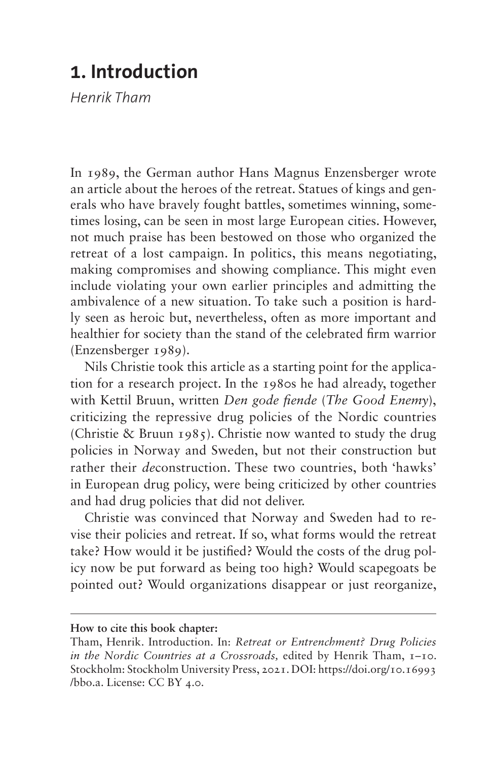## **1. Introduction**

*Henrik Tham*

In 1989, the German author Hans Magnus Enzensberger wrote an article about the heroes of the retreat. Statues of kings and generals who have bravely fought battles, sometimes winning, sometimes losing, can be seen in most large European cities. However, not much praise has been bestowed on those who organized the retreat of a lost campaign. In politics, this means negotiating, making compromises and showing compliance. This might even include violating your own earlier principles and admitting the ambivalence of a new situation. To take such a position is hardly seen as heroic but, nevertheless, often as more important and healthier for society than the stand of the celebrated firm warrior (Enzensberger 1989).

Nils Christie took this article as a starting point for the application for a research project. In the 1980s he had already, together with Kettil Bruun, written *Den gode fiende* (*The Good Enemy*), criticizing the repressive drug policies of the Nordic countries (Christie & Bruun 1985). Christie now wanted to study the drug policies in Norway and Sweden, but not their construction but rather their *de*construction. These two countries, both 'hawks' in European drug policy, were being criticized by other countries and had drug policies that did not deliver.

Christie was convinced that Norway and Sweden had to revise their policies and retreat. If so, what forms would the retreat take? How would it be justified? Would the costs of the drug policy now be put forward as being too high? Would scapegoats be pointed out? Would organizations disappear or just reorganize,

**How to cite this book chapter:**

Tham, Henrik. Introduction. In: *Retreat or Entrenchment? Drug Policies in the Nordic Countries at a Crossroads,* edited by Henrik Tham, 1–10. Stockholm: Stockholm University Press, 2021. DOI: [https://doi.org/10.16993](https://doi.org/10.16993/bbo.a) [/bbo.a](https://doi.org/10.16993/bbo.a). License: CC BY 4.0.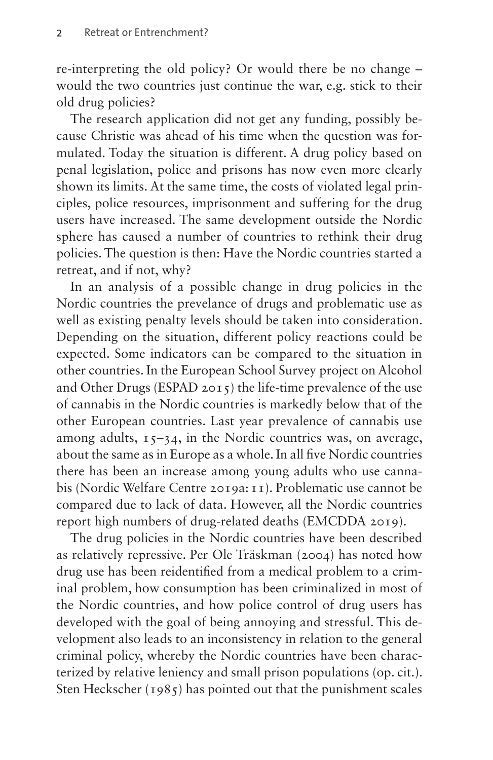re-interpreting the old policy? Or would there be no change – would the two countries just continue the war, e.g. stick to their old drug policies?

The research application did not get any funding, possibly because Christie was ahead of his time when the question was formulated. Today the situation is different. A drug policy based on penal legislation, police and prisons has now even more clearly shown its limits. At the same time, the costs of violated legal principles, police resources, imprisonment and suffering for the drug users have increased. The same development outside the Nordic sphere has caused a number of countries to rethink their drug policies. The question is then: Have the Nordic countries started a retreat, and if not, why?

In an analysis of a possible change in drug policies in the Nordic countries the prevelance of drugs and problematic use as well as existing penalty levels should be taken into consideration. Depending on the situation, different policy reactions could be expected. Some indicators can be compared to the situation in other countries. In the European School Survey project on Alcohol and Other Drugs (ESPAD 2015) the life-time prevalence of the use of cannabis in the Nordic countries is markedly below that of the other European countries. Last year prevalence of cannabis use among adults,  $15-34$ , in the Nordic countries was, on average, about the same as in Europe as a whole. In all five Nordic countries there has been an increase among young adults who use cannabis (Nordic Welfare Centre 2019a:11). Problematic use cannot be compared due to lack of data. However, all the Nordic countries report high numbers of drug-related deaths (EMCDDA 2019).

The drug policies in the Nordic countries have been described as relatively repressive. Per Ole Träskman (2004) has noted how drug use has been reidentified from a medical problem to a criminal problem, how consumption has been criminalized in most of the Nordic countries, and how police control of drug users has developed with the goal of being annoying and stressful. This development also leads to an inconsistency in relation to the general criminal policy, whereby the Nordic countries have been characterized by relative leniency and small prison populations (op. cit.). Sten Heckscher (1985) has pointed out that the punishment scales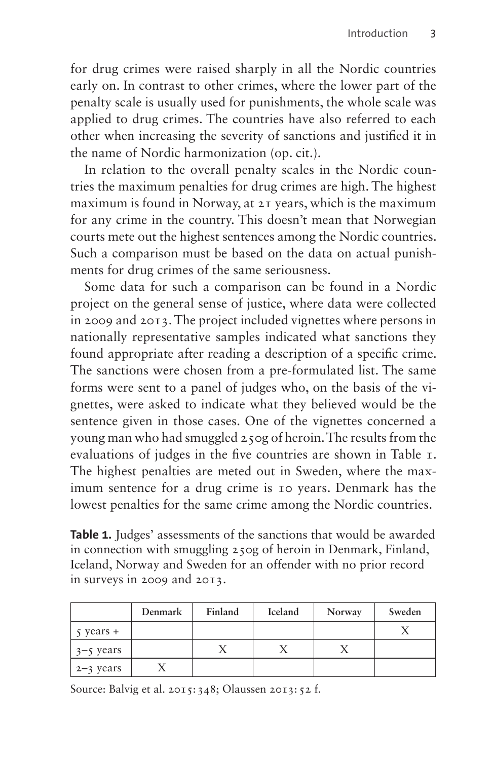for drug crimes were raised sharply in all the Nordic countries early on. In contrast to other crimes, where the lower part of the penalty scale is usually used for punishments, the whole scale was applied to drug crimes. The countries have also referred to each other when increasing the severity of sanctions and justified it in the name of Nordic harmonization (op. cit.).

In relation to the overall penalty scales in the Nordic countries the maximum penalties for drug crimes are high. The highest maximum is found in Norway, at 21 years, which is the maximum for any crime in the country. This doesn't mean that Norwegian courts mete out the highest sentences among the Nordic countries. Such a comparison must be based on the data on actual punishments for drug crimes of the same seriousness.

Some data for such a comparison can be found in a Nordic project on the general sense of justice, where data were collected in 2009 and 2013. The project included vignettes where persons in nationally representative samples indicated what sanctions they found appropriate after reading a description of a specific crime. The sanctions were chosen from a pre-formulated list. The same forms were sent to a panel of judges who, on the basis of the vignettes, were asked to indicate what they believed would be the sentence given in those cases. One of the vignettes concerned a young man who had smuggled 250g of heroin. The results from the evaluations of judges in the five countries are shown in [Table 1.](#page-2-0) The highest penalties are meted out in Sweden, where the maximum sentence for a drug crime is 10 years. Denmark has the lowest penalties for the same crime among the Nordic countries.

<span id="page-2-0"></span>Table 1. Judges' assessments of the sanctions that would be awarded in connection with smuggling 250g of heroin in Denmark, Finland, Iceland, Norway and Sweden for an offender with no prior record in surveys in 2009 and 2013.

|                       | Denmark | Finland | Iceland | Norway | Sweden |
|-----------------------|---------|---------|---------|--------|--------|
| $\frac{1}{2}$ years + |         |         |         |        |        |
| $3 - 5$ years         |         |         |         |        |        |
| $2 - 3$ years         |         |         |         |        |        |

Source: Balvig et al.  $2015:348$ ; Olaussen  $2013:52$  f.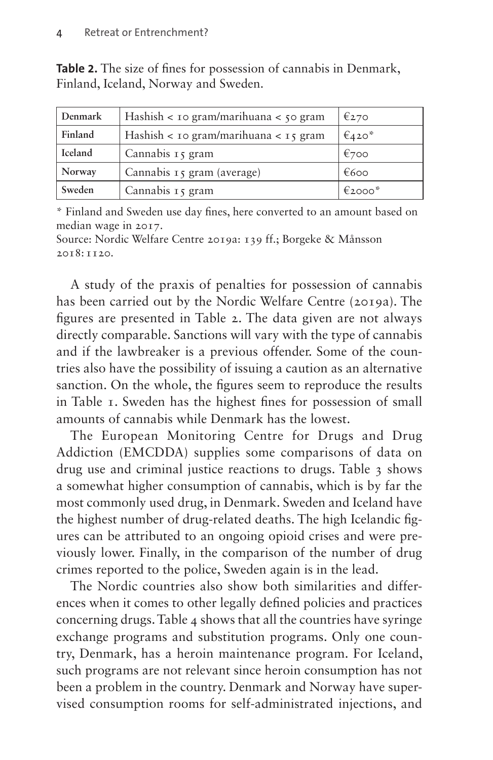| Denmark | Hashish $\lt$ 10 gram/marihuana $\lt$ 50 gram | €270      |
|---------|-----------------------------------------------|-----------|
| Finland | Hashish < 10 gram/marihuana < 15 gram         | $€420*$   |
| Iceland | Cannabis 15 gram                              | €700      |
| Norway  | Cannabis 15 gram (average)                    | €600      |
| Sweden  | Cannabis 15 gram                              | €2000 $*$ |

<span id="page-3-0"></span>**Table 2.** The size of fines for possession of cannabis in Denmark, Finland, Iceland, Norway and Sweden.

\* Finland and Sweden use day fines, here converted to an amount based on median wage in 2017.

Source: Nordic Welfare Centre 2019a: 139 ff.; Borgeke & Månsson  $2018 \cdot 1120$ 

A study of the praxis of penalties for possession of cannabis has been carried out by the Nordic Welfare Centre (2019a). The figures are presented in [Table 2](#page-3-0). The data given are not always directly comparable. Sanctions will vary with the type of cannabis and if the lawbreaker is a previous offender. Some of the countries also have the possibility of issuing a caution as an alternative sanction. On the whole, the figures seem to reproduce the results in [Table 1](#page-2-0). Sweden has the highest fines for possession of small amounts of cannabis while Denmark has the lowest.

The European Monitoring Centre for Drugs and Drug Addiction (EMCDDA) supplies some comparisons of data on drug use and criminal justice reactions to drugs. [Table 3](#page-4-0) shows a somewhat higher consumption of cannabis, which is by far the most commonly used drug, in Denmark. Sweden and Iceland have the highest number of drug-related deaths. The high Icelandic figures can be attributed to an ongoing opioid crises and were previously lower. Finally, in the comparison of the number of drug crimes reported to the police, Sweden again is in the lead.

The Nordic countries also show both similarities and differences when it comes to other legally defined policies and practices concerning drugs. [Table 4](#page-4-1) shows that all the countries have syringe exchange programs and substitution programs. Only one country, Denmark, has a heroin maintenance program. For Iceland, such programs are not relevant since heroin consumption has not been a problem in the country. Denmark and Norway have supervised consumption rooms for self-administrated injections, and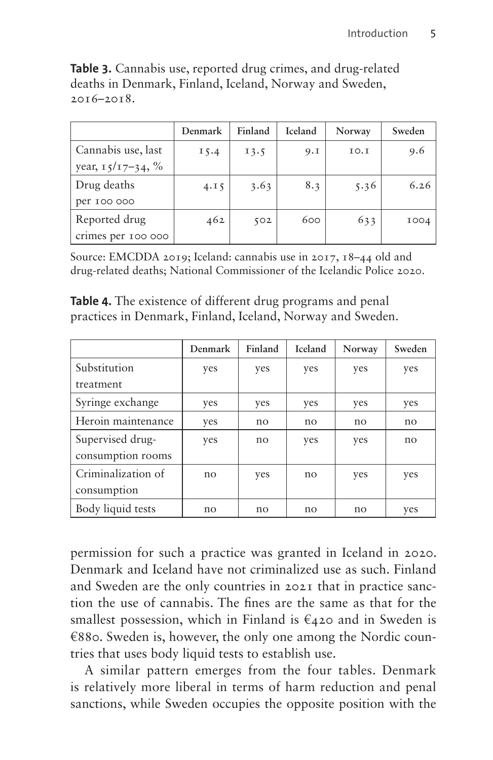|                      | Denmark | Finland | Iceland | Norway | Sweden      |
|----------------------|---------|---------|---------|--------|-------------|
| Cannabis use, last   | 15.4    | 13.5    | 9.1     | IO.I   | 9.6         |
| year, $15/17-34$ , % |         |         |         |        |             |
| Drug deaths          | 4.15    | 3.63    | 8.3     | 5.36   | 6.26        |
| per 100 000          |         |         |         |        |             |
| Reported drug        | 462     | 502     | 600     | 633    | <b>IOO4</b> |
| crimes per 100 000   |         |         |         |        |             |

<span id="page-4-0"></span>**Table 3.** Cannabis use, reported drug crimes, and drug-related deaths in Denmark, Finland, Iceland, Norway and Sweden, 2016–2018.

Source: EMCDDA 2019; Iceland: cannabis use in 2017, 18–44 old and drug-related deaths; National Commissioner of the Icelandic Police 2020.

<span id="page-4-1"></span>**Table 4.** The existence of different drug programs and penal practices in Denmark, Finland, Iceland, Norway and Sweden.

|                    | Denmark | Finland | <b>Iceland</b> | Norway | Sweden |
|--------------------|---------|---------|----------------|--------|--------|
| Substitution       | yes     | yes     | yes            | yes    | yes    |
| treatment          |         |         |                |        |        |
| Syringe exchange   | yes     | yes     | yes            | yes    | yes    |
| Heroin maintenance | yes     | no      | no             | no     | no     |
| Supervised drug-   | yes     | no      | yes            | yes    | no     |
| consumption rooms  |         |         |                |        |        |
| Criminalization of | no      | yes     | no             | yes    | yes    |
| consumption        |         |         |                |        |        |
| Body liquid tests  | no      | no      | no             | no     | yes    |

permission for such a practice was granted in Iceland in 2020. Denmark and Iceland have not criminalized use as such. Finland and Sweden are the only countries in 2021 that in practice sanction the use of cannabis. The fines are the same as that for the smallest possession, which in Finland is  $\epsilon_{42}$  and in Sweden is €880. Sweden is, however, the only one among the Nordic countries that uses body liquid tests to establish use.

A similar pattern emerges from the four tables. Denmark is relatively more liberal in terms of harm reduction and penal sanctions, while Sweden occupies the opposite position with the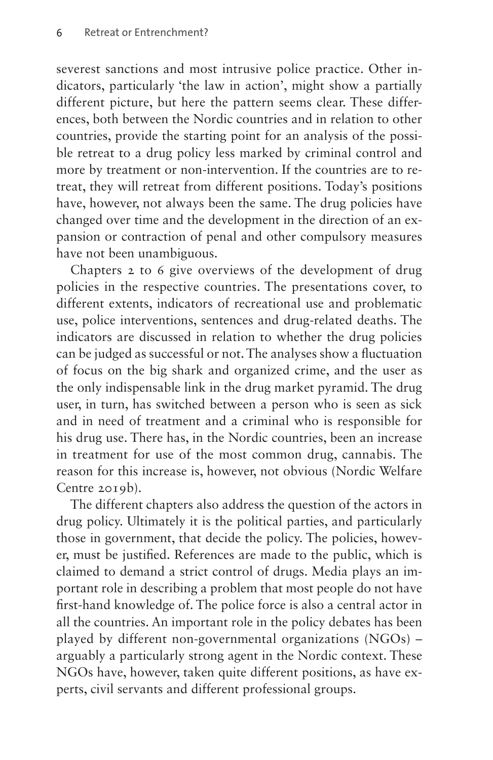severest sanctions and most intrusive police practice. Other indicators, particularly 'the law in action', might show a partially different picture, but here the pattern seems clear. These differences, both between the Nordic countries and in relation to other countries, provide the starting point for an analysis of the possible retreat to a drug policy less marked by criminal control and more by treatment or non-intervention. If the countries are to retreat, they will retreat from different positions. Today's positions have, however, not always been the same. The drug policies have changed over time and the development in the direction of an expansion or contraction of penal and other compulsory measures have not been unambiguous.

Chapters 2 to 6 give overviews of the development of drug policies in the respective countries. The presentations cover, to different extents, indicators of recreational use and problematic use, police interventions, sentences and drug-related deaths. The indicators are discussed in relation to whether the drug policies can be judged as successful or not. The analyses show a fluctuation of focus on the big shark and organized crime, and the user as the only indispensable link in the drug market pyramid. The drug user, in turn, has switched between a person who is seen as sick and in need of treatment and a criminal who is responsible for his drug use. There has, in the Nordic countries, been an increase in treatment for use of the most common drug, cannabis. The reason for this increase is, however, not obvious (Nordic Welfare Centre 2019b).

The different chapters also address the question of the actors in drug policy. Ultimately it is the political parties, and particularly those in government, that decide the policy. The policies, however, must be justified. References are made to the public, which is claimed to demand a strict control of drugs. Media plays an important role in describing a problem that most people do not have first-hand knowledge of. The police force is also a central actor in all the countries. An important role in the policy debates has been played by different non-governmental organizations (NGOs) – arguably a particularly strong agent in the Nordic context. These NGOs have, however, taken quite different positions, as have experts, civil servants and different professional groups.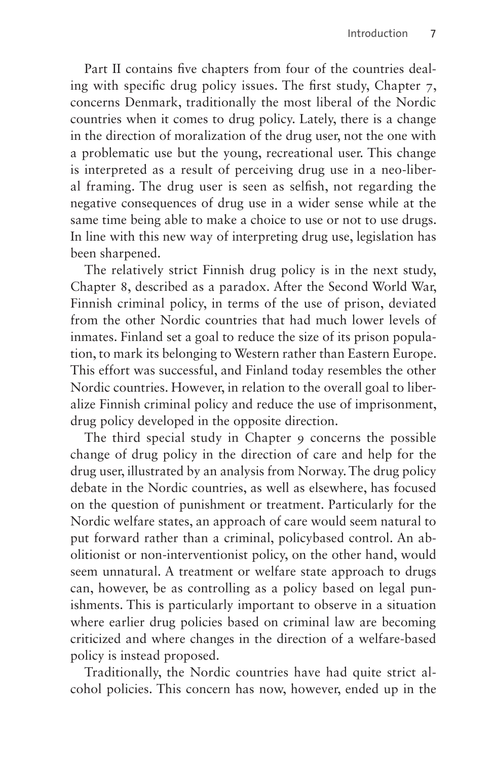Part II contains five chapters from four of the countries dealing with specific drug policy issues. The first study, Chapter 7, concerns Denmark, traditionally the most liberal of the Nordic countries when it comes to drug policy. Lately, there is a change in the direction of moralization of the drug user, not the one with a problematic use but the young, recreational user. This change is interpreted as a result of perceiving drug use in a neo-liberal framing. The drug user is seen as selfish, not regarding the negative consequences of drug use in a wider sense while at the same time being able to make a choice to use or not to use drugs. In line with this new way of interpreting drug use, legislation has been sharpened.

The relatively strict Finnish drug policy is in the next study, Chapter 8, described as a paradox. After the Second World War, Finnish criminal policy, in terms of the use of prison, deviated from the other Nordic countries that had much lower levels of inmates. Finland set a goal to reduce the size of its prison population, to mark its belonging to Western rather than Eastern Europe. This effort was successful, and Finland today resembles the other Nordic countries. However, in relation to the overall goal to liberalize Finnish criminal policy and reduce the use of imprisonment, drug policy developed in the opposite direction.

The third special study in Chapter 9 concerns the possible change of drug policy in the direction of care and help for the drug user, illustrated by an analysis from Norway. The drug policy debate in the Nordic countries, as well as elsewhere, has focused on the question of punishment or treatment. Particularly for the Nordic welfare states, an approach of care would seem natural to put forward rather than a criminal, policybased control. An abolitionist or non-interventionist policy, on the other hand, would seem unnatural. A treatment or welfare state approach to drugs can, however, be as controlling as a policy based on legal punishments. This is particularly important to observe in a situation where earlier drug policies based on criminal law are becoming criticized and where changes in the direction of a welfare-based policy is instead proposed.

Traditionally, the Nordic countries have had quite strict alcohol policies. This concern has now, however, ended up in the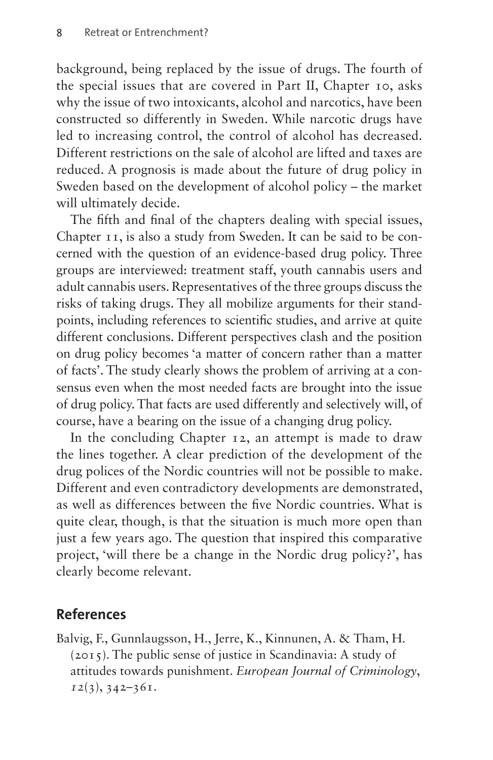background, being replaced by the issue of drugs. The fourth of the special issues that are covered in Part II, Chapter 10, asks why the issue of two intoxicants, alcohol and narcotics, have been constructed so differently in Sweden. While narcotic drugs have led to increasing control, the control of alcohol has decreased. Different restrictions on the sale of alcohol are lifted and taxes are reduced. A prognosis is made about the future of drug policy in Sweden based on the development of alcohol policy – the market will ultimately decide.

The fifth and final of the chapters dealing with special issues, Chapter 11, is also a study from Sweden. It can be said to be concerned with the question of an evidence-based drug policy. Three groups are interviewed: treatment staff, youth cannabis users and adult cannabis users. Representatives of the three groups discuss the risks of taking drugs. They all mobilize arguments for their standpoints, including references to scientific studies, and arrive at quite different conclusions. Different perspectives clash and the position on drug policy becomes 'a matter of concern rather than a matter of facts'. The study clearly shows the problem of arriving at a consensus even when the most needed facts are brought into the issue of drug policy. That facts are used differently and selectively will, of course, have a bearing on the issue of a changing drug policy.

In the concluding Chapter 12, an attempt is made to draw the lines together. A clear prediction of the development of the drug polices of the Nordic countries will not be possible to make. Different and even contradictory developments are demonstrated, as well as differences between the five Nordic countries. What is quite clear, though, is that the situation is much more open than just a few years ago. The question that inspired this comparative project, 'will there be a change in the Nordic drug policy?', has clearly become relevant.

## **References**

Balvig, F., Gunnlaugsson, H., Jerre, K., Kinnunen, A. & Tham, H. (2015). The public sense of justice in Scandinavia: A study of attitudes towards punishment. *European Journal of Criminology*, *12*(3), 342–361.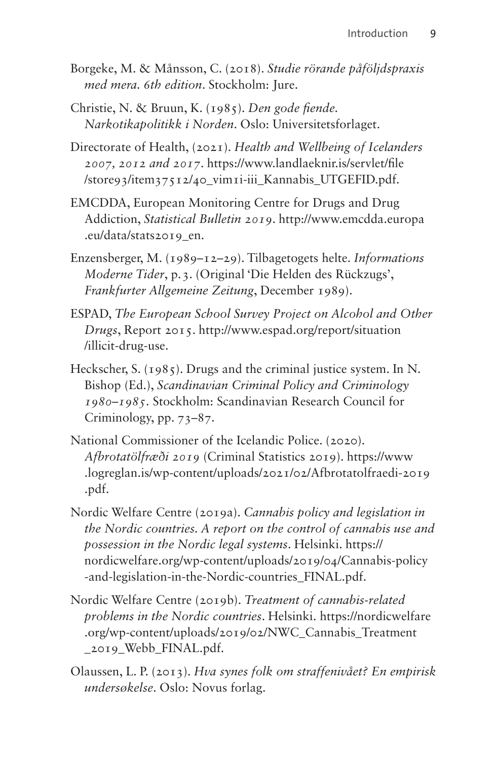- Borgeke, M. & Månsson, C. (2018). *Studie rörande påföljdspraxis med mera. 6th edition*. Stockholm: Jure.
- Christie, N. & Bruun, K. (1985). *Den gode fiende. Narkotikapolitikk i Norden*. Oslo: Universitetsforlaget.
- Directorate of Health, (2021). *Health and Wellbeing of Icelanders 2007, 2012 and 2017*. [https://www.landlaeknir.is/servlet/file](https://www.landlaeknir.is/servlet/file/store93/item37512/40_vim1i-iii_Kannabis_UTGEFID.pdf) [/store93/item37512/40\\_vim1i-iii\\_Kannabis\\_UTGEFID.pdf](https://www.landlaeknir.is/servlet/file/store93/item37512/40_vim1i-iii_Kannabis_UTGEFID.pdf).
- EMCDDA, European Monitoring Centre for Drugs and Drug Addiction, *Statistical Bulletin 2019*. [http://www.emcdda.europa](http://www.emcdda.europa.eu/data/stats2019_en) [.eu/data/stats2019\\_en.](http://www.emcdda.europa.eu/data/stats2019_en)
- Enzensberger, M. (1989–12–29). Tilbagetogets helte. *Informations Moderne Tider*, p.3. (Original 'Die Helden des Rückzugs', *Frankfurter Allgemeine Zeitung*, December 1989).
- ESPAD, *The European School Survey Project on Alcohol and Other Drugs*, Report 2015. [http://www.espad.org/report/situation](http://www.espad.org/report/situation/illicit-drug-use) [/illicit-drug-use](http://www.espad.org/report/situation/illicit-drug-use).
- Heckscher, S. (1985). Drugs and the criminal justice system. In N. Bishop (Ed.), *Scandinavian Criminal Policy and Criminology 1980–1985*. Stockholm: Scandinavian Research Council for Criminology, pp. 73–87.
- National Commissioner of the Icelandic Police. (2020). *Afbrotatölfræði 2019* (Criminal Statistics 2019). [https://www](https://www.logreglan.is/wp-content/uploads/2021/02/Afbrotatolfraedi-2019.pdf) [.logreglan.is/wp-content/uploads/2021/02/Afbrotatolfraedi-2019](https://www.logreglan.is/wp-content/uploads/2021/02/Afbrotatolfraedi-2019.pdf) [.pdf](https://www.logreglan.is/wp-content/uploads/2021/02/Afbrotatolfraedi-2019.pdf).
- Nordic Welfare Centre (2019a). *Cannabis policy and legislation in the Nordic countries. A report on the control of cannabis use and possession in the Nordic legal systems*. Helsinki. [https://](https://nordicwelfare.org/wp-content/uploads/2019/04/Cannabis-policy-and-legislation-in-the-Nordic-countries_FINAL.pdf) [nordicwelfare.org/wp-content/uploads/2019/04/Cannabis-policy](https://nordicwelfare.org/wp-content/uploads/2019/04/Cannabis-policy-and-legislation-in-the-Nordic-countries_FINAL.pdf) [-and-legislation-in-the-Nordic-countries\\_FINAL.pdf](https://nordicwelfare.org/wp-content/uploads/2019/04/Cannabis-policy-and-legislation-in-the-Nordic-countries_FINAL.pdf).
- Nordic Welfare Centre (2019b). *Treatment of cannabis-related problems in the Nordic countries*. Helsinki. [https://nordicwelfare](https://nordicwelfare.org/wp-content/uploads/2019/02/NWC_Cannabis_Treatment_2019_Webb_FINAL.pdf) [.org/wp-content/uploads/2019/02/NWC\\_Cannabis\\_Treatment](https://nordicwelfare.org/wp-content/uploads/2019/02/NWC_Cannabis_Treatment_2019_Webb_FINAL.pdf) [\\_2019\\_Webb\\_FINAL.pdf.](https://nordicwelfare.org/wp-content/uploads/2019/02/NWC_Cannabis_Treatment_2019_Webb_FINAL.pdf)
- Olaussen, L. P. (2013). *Hva synes folk om straffenivået? En empirisk undersøkelse*. Oslo: Novus forlag.